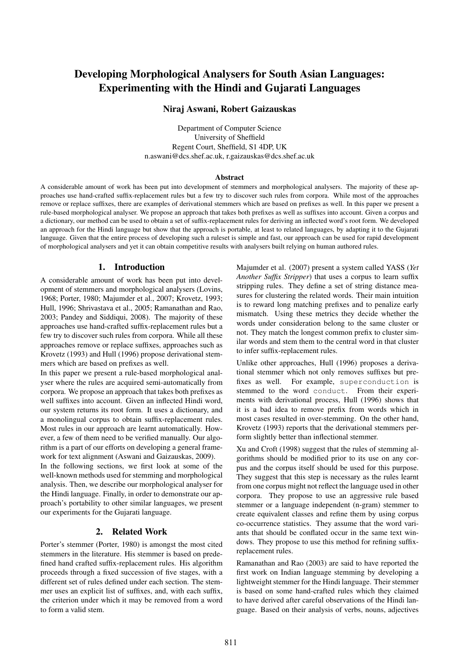# Developing Morphological Analysers for South Asian Languages: Experimenting with the Hindi and Gujarati Languages

## Niraj Aswani, Robert Gaizauskas

Department of Computer Science University of Sheffield Regent Court, Sheffield, S1 4DP, UK n.aswani@dcs.shef.ac.uk, r.gaizauskas@dcs.shef.ac.uk

#### Abstract

A considerable amount of work has been put into development of stemmers and morphological analysers. The majority of these approaches use hand-crafted suffix-replacement rules but a few try to discover such rules from corpora. While most of the approaches remove or replace suffixes, there are examples of derivational stemmers which are based on prefixes as well. In this paper we present a rule-based morphological analyser. We propose an approach that takes both prefixes as well as suffixes into account. Given a corpus and a dictionary, our method can be used to obtain a set of suffix-replacement rules for deriving an inflected word's root form. We developed an approach for the Hindi language but show that the approach is portable, at least to related languages, by adapting it to the Gujarati language. Given that the entire process of developing such a ruleset is simple and fast, our approach can be used for rapid development of morphological analysers and yet it can obtain competitive results with analysers built relying on human authored rules.

#### 1. Introduction

A considerable amount of work has been put into development of stemmers and morphological analysers (Lovins, 1968; Porter, 1980; Majumder et al., 2007; Krovetz, 1993; Hull, 1996; Shrivastava et al., 2005; Ramanathan and Rao, 2003; Pandey and Siddiqui, 2008). The majority of these approaches use hand-crafted suffix-replacement rules but a few try to discover such rules from corpora. While all these approaches remove or replace suffixes, approaches such as Krovetz (1993) and Hull (1996) propose derivational stemmers which are based on prefixes as well.

In this paper we present a rule-based morphological analyser where the rules are acquired semi-automatically from corpora. We propose an approach that takes both prefixes as well suffixes into account. Given an inflected Hindi word, our system returns its root form. It uses a dictionary, and a monolingual corpus to obtain suffix-replacement rules. Most rules in our approach are learnt automatically. However, a few of them need to be verified manually. Our algorithm is a part of our efforts on developing a general framework for text alignment (Aswani and Gaizauskas, 2009).

In the following sections, we first look at some of the well-known methods used for stemming and morphological analysis. Then, we describe our morphological analyser for the Hindi language. Finally, in order to demonstrate our approach's portability to other similar languages, we present our experiments for the Gujarati language.

### 2. Related Work

Porter's stemmer (Porter, 1980) is amongst the most cited stemmers in the literature. His stemmer is based on predefined hand crafted suffix-replacement rules. His algorithm proceeds through a fixed succession of five stages, with a different set of rules defined under each section. The stemmer uses an explicit list of suffixes, and, with each suffix, the criterion under which it may be removed from a word to form a valid stem.

Majumder et al. (2007) present a system called YASS (*Yet Another Suffix Stripper*) that uses a corpus to learn suffix stripping rules. They define a set of string distance measures for clustering the related words. Their main intuition is to reward long matching prefixes and to penalize early mismatch. Using these metrics they decide whether the words under consideration belong to the same cluster or not. They match the longest common prefix to cluster similar words and stem them to the central word in that cluster to infer suffix-replacement rules.

Unlike other approaches, Hull (1996) proposes a derivational stemmer which not only removes suffixes but prefixes as well. For example, superconduction is stemmed to the word conduct. From their experiments with derivational process, Hull (1996) shows that it is a bad idea to remove prefix from words which in most cases resulted in over-stemming. On the other hand, Krovetz (1993) reports that the derivational stemmers perform slightly better than inflectional stemmer.

Xu and Croft (1998) suggest that the rules of stemming algorithms should be modified prior to its use on any corpus and the corpus itself should be used for this purpose. They suggest that this step is necessary as the rules learnt from one corpus might not reflect the language used in other corpora. They propose to use an aggressive rule based stemmer or a language independent (n-gram) stemmer to create equivalent classes and refine them by using corpus co-occurrence statistics. They assume that the word variants that should be conflated occur in the same text windows. They propose to use this method for refining suffixreplacement rules.

Ramanathan and Rao (2003) are said to have reported the first work on Indian language stemming by developing a lightweight stemmer for the Hindi language. Their stemmer is based on some hand-crafted rules which they claimed to have derived after careful observations of the Hindi language. Based on their analysis of verbs, nouns, adjectives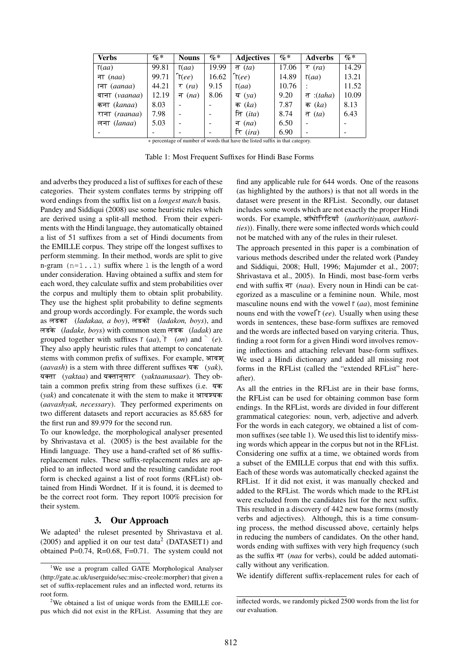| <b>Verbs</b>                                                                  | $\% *$ | <b>Nouns</b>     | $\% *$ | <b>Adjectives</b> | $\mathcal{G}_0^*$ | <b>Adverbs</b>           | $\mathcal{G}_0^*$ |  |  |
|-------------------------------------------------------------------------------|--------|------------------|--------|-------------------|-------------------|--------------------------|-------------------|--|--|
| $\Gamma(aa)$                                                                  | 99.81  | $\Gamma(aa)$     | 19.99  | त $(ta)$          | 17.06             | $\tau$ (ra)              | 14.29             |  |  |
| ना $(naa)$                                                                    | 99.71  | $\hat{\tau}(ee)$ | 16.62  | $\hat{\tau}(ee)$  | 14.89             | $\Gamma(aa)$             | 13.21             |  |  |
| $TT$ (aanaa)                                                                  | 44.21  | $\tau$ (ra)      | 9.15   | $\Gamma(aa)$      | 10.76             |                          | 11.52             |  |  |
| वाना (vaanaa)                                                                 | 12.19  | न $(na)$         | 8.06   | य $(ya)$          | 9.20              | त: $(taha)$              | 10.09             |  |  |
| कना (kanaa)                                                                   | 8.03   |                  |        | क $(ka)$          | 7.87              | क $(ka)$                 | 8.13              |  |  |
| राना (raanaa)                                                                 | 7.98   |                  |        | ति $(ita)$        | 8.74              | त $(ta)$                 | 6.43              |  |  |
| लना (lanaa)                                                                   | 5.03   |                  |        | न $(na)$          | 6.50              | $\overline{\phantom{a}}$ |                   |  |  |
|                                                                               |        |                  |        | रि $(ira)$        | 6.90              | $\overline{\phantom{a}}$ |                   |  |  |
| * percentage of number of words that have the listed suffix in that category. |        |                  |        |                   |                   |                          |                   |  |  |

Table 1: Most Frequent Suffixes for Hindi Base Forms

and adverbs they produced a list of suffixes for each of these categories. Their system conflates terms by stripping off word endings from the suffix list on a *longest match* basis. Pandey and Siddiqui (2008) use some heuristic rules which are derived using a split-all method. From their experiments with the Hindi language, they automatically obtained a list of 51 suffixes from a set of Hindi documents from the EMILLE corpus. They stripe off the longest suffixes to perform stemming. In their method, words are split to give n-gram  $(n=1..1)$  suffix where 1 is the length of a word under consideration. Having obtained a suffix and stem for each word, they calculate suffix and stem probabilities over the corpus and multiply them to obtain split probability. They use the highest split probability to define segments and group words accordingly. For example, the words such as लडका (*ladakaa, a boy*), लडकों (*ladakon, boys*), and लडके (ladake, boys) with common stem लडक (ladak) are grouped together with suffixes  $\Gamma$  (*aa*),  $\check{\Gamma}$  (*on*) and  $\hat{\ }$  (*e*). They also apply heuristic rules that attempt to concatenate stems with common prefix of suffixes. For example, आवश् *(aavash)* is a stem with three different suffixes यक *(yak)*, यक्ता (*yaktaa*) and यक्तानुसार (*yaktaanusaar*). They obtain a common prefix string from these suffixes (i.e. यक  $(yak)$  and concatenate it with the stem to make it आवश्यक (*aavashyak, necessary*). They performed experiments on two different datasets and report accuracies as 85.685 for the first run and 89.979 for the second run.

To our knowledge, the morphological analyser presented by Shrivastava et al. (2005) is the best available for the Hindi language. They use a hand-crafted set of 86 suffixreplacement rules. These suffix-replacement rules are applied to an inflected word and the resulting candidate root form is checked against a list of root forms (RFList) obtained from Hindi Wordnet. If it is found, it is deemed to be the correct root form. They report 100% precision for their system.

#### 3. Our Approach

We adapted<sup>1</sup> the ruleset presented by Shrivastava et al.  $(2005)$  and applied it on our test data<sup>2</sup> (DATASET1) and obtained P=0.74, R=0.68, F=0.71. The system could not find any applicable rule for 644 words. One of the reasons (as highlighted by the authors) is that not all words in the dataset were present in the RFList. Secondly, our dataset includes some words which are not exactly the proper Hindi words. For example, ऑयोरिटियाँ (authoritiyaan, authori*ties*)). Finally, there were some inflected words which could not be matched with any of the rules in their ruleset.

The approach presented in this paper is a combination of various methods described under the related work (Pandey and Siddiqui, 2008; Hull, 1996; Majumder et al., 2007; Shrivastava et al., 2005). In Hindi, most base-form verbs end with suffix ना (*naa*). Every noun in Hindi can be categorized as a masculine or a feminine noun. While, most masculine nouns end with the vowel  $\Gamma (aa)$ , most feminine nouns end with the vowel<sup>†</sup> (*ee*). Usually when using these words in sentences, these base-form suffixes are removed and the words are inflected based on varying criteria. Thus, finding a root form for a given Hindi word involves removing inflections and attaching relevant base-form suffixes. We used a Hindi dictionary and added all missing root forms in the RFList (called the "extended RFList" hereafter).

As all the entries in the RFList are in their base forms, the RFList can be used for obtaining common base form endings. In the RFList, words are divided in four different grammatical categories: noun, verb, adjective and adverb. For the words in each category, we obtained a list of common suffixes (see table 1). We used this list to identify missing words which appear in the corpus but not in the RFList. Considering one suffix at a time, we obtained words from a subset of the EMILLE corpus that end with this suffix. Each of these words was automatically checked against the RFList. If it did not exist, it was manually checked and added to the RFList. The words which made to the RFList were excluded from the candidates list for the next suffix. This resulted in a discovery of 442 new base forms (mostly verbs and adjectives). Although, this is a time consuming process, the method discussed above, certainly helps in reducing the numbers of candidates. On the other hand, words ending with suffixes with very high frequency (such as the suffix ना (*naa* for verbs), could be added automatically without any verification.

We identify different suffix-replacement rules for each of

<sup>&</sup>lt;sup>1</sup>We use a program called GATE Morphological Analyser (http://gate.ac.uk/userguide/sec:misc-creole:morpher) that given a set of suffix-replacement rules and an inflected word, returns its root form.

<sup>&</sup>lt;sup>2</sup>We obtained a list of unique words from the EMILLE corpus which did not exist in the RFList. Assuming that they are

inflected words, we randomly picked 2500 words from the list for our evaluation.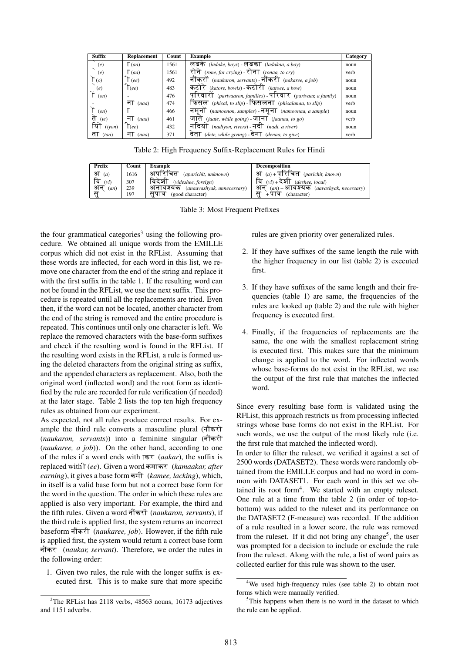| <b>Suffix</b> | <b>Replacement</b> | Count | <b>Example</b>                                                | Category |
|---------------|--------------------|-------|---------------------------------------------------------------|----------|
| (e)           | $\Gamma$ (aa)      | 1561  | लडके (ladake, boys) - लडका (ladakaa, a boy)                   | noun     |
| (e)           | $\lceil$ (aa)      | 1561  | रोने (rone, for crying) - रोना (ronaa, to cry)                | verb     |
| $\Gamma$ (o)  | $\lceil$ (ee)      | 492   | नौंकरों (naukaron, servants) - नौंकरी (nakaree, a job)        | noun     |
| (e)           | $\Gamma(ee)$       | 483   | कटोरे (katore, bowls) - कटोरी (katoee, a bow)                 | noun     |
| (on)          |                    | 476   | परिवारों (parivaaron, families) - परिवार (parivaar, a family) | noun     |
|               | ना $(naa)$         | 474   | फिसल (phisal, to slip) - फिसलना (phisalanaa, to slip)         | verb     |
| (on)          |                    | 466   | नमृनो (namoonon, samples) - नमृना (namoonaa, a sample)        | noun     |
| ते<br>(te)    | ना $(naa)$         | 461   | जाते (jaate, while going) - जाना (jaanaa, to go)              | verb     |
| यों<br>(ivon) | $\epsilon$ (ee)    | 432   | नदियों (nadiyon, rivers) - नदी (nadi, a river)                | noun     |
| ता $(taa)$    | ना<br>(naa)        | 371   | देता (dete, while giving) - देना (denaa, to give)             | verb     |

Table 2: High Frequency Suffix-Replacement Rules for Hindi

| Prefix     | Count | <b>Example</b>                        | <b>Decomposition</b>                                |
|------------|-------|---------------------------------------|-----------------------------------------------------|
| अ<br>(a)   | 1616  | . अपरिचित <i>(aparichit, unknown)</i> | <u>अ<math>(a) + 4</math>रिचित (parichit, known)</u> |
| वि<br>(vi) | 307   | विदेशी (videshee, foreign)            | $\overline{q}$ (vi) + देशी (deshee, local)          |
| अन<br>(an) | 239   | अनावश्यक (anaavashyak, unnecessary)   | अन $(a_n)$ +आवश्यक (aavashyak, necessary)           |
| ਸ          | 197   | सपात्र (good character)               | .पात्र<br>(character)                               |

Table 3: Most Frequent Prefixes

the four grammatical categories<sup>3</sup> using the following procedure. We obtained all unique words from the EMILLE corpus which did not exist in the RFList. Assuming that these words are inflected, for each word in this list, we remove one character from the end of the string and replace it with the first suffix in the table 1. If the resulting word can not be found in the RFList, we use the next suffix. This procedure is repeated until all the replacements are tried. Even then, if the word can not be located, another character from the end of the string is removed and the entire procedure is repeated. This continues until only one character is left. We replace the removed characters with the base-form suffixes and check if the resulting word is found in the RFList. If the resulting word exists in the RFList, a rule is formed using the deleted characters from the original string as suffix, and the appended characters as replacement. Also, both the original word (inflected word) and the root form as identified by the rule are recorded for rule verification (if needed) at the later stage. Table 2 lists the top ten high frequency rules as obtained from our experiment.

As expected, not all rules produce correct results. For example the third rule converts a masculine plural  $(\vec{\eta} \cdot \vec{\eta})$ *(naukaron, servants))* into a feminine singular (नौकरी (*naukaree, a job*)). On the other hand, according to one of the rules if a word ends with Akr (*aakar*), the suffix is replaced with  $\int$  (*ee*). Given a word कमाकर (*kamaakar, after earning*), it gives a base form कमी (*kamee, lacking*), which, in itself is a valid base form but not a correct base form for the word in the question. The order in which these rules are applied is also very important. For example, the third and the fifth rules. Given a word नौंकरों (naukaron, servants), if the third rule is applied first, the system returns an incorrect baseform नौंकरी (*naukaree, job*). However, if the fifth rule is applied first, the system would return a correct base form नौंकर (naukar, servant). Therefore, we order the rules in the following order:

1. Given two rules, the rule with the longer suffix is executed first. This is to make sure that more specific rules are given priority over generalized rules.

- 2. If they have suffixes of the same length the rule with the higher frequency in our list (table 2) is executed first.
- 3. If they have suffixes of the same length and their frequencies (table 1) are same, the frequencies of the rules are looked up (table 2) and the rule with higher frequency is executed first.
- 4. Finally, if the frequencies of replacements are the same, the one with the smallest replacement string is executed first. This makes sure that the minimum change is applied to the word. For inflected words whose base-forms do not exist in the RFList, we use the output of the first rule that matches the inflected word.

Since every resulting base form is validated using the RFList, this approach restricts us from processing inflected strings whose base forms do not exist in the RFList. For such words, we use the output of the most likely rule (i.e. the first rule that matched the inflected word).

In order to filter the ruleset, we verified it against a set of 2500 words (DATASET2). These words were randomly obtained from the EMILLE corpus and had no word in common with DATASET1. For each word in this set we obtained its root form<sup>4</sup>. We started with an empty ruleset. One rule at a time from the table 2 (in order of top-tobottom) was added to the ruleset and its performance on the DATASET2 (F-measure) was recorded. If the addition of a rule resulted in a lower score, the rule was removed from the ruleset. If it did not bring any change<sup>5</sup>, the user was prompted for a decision to include or exclude the rule from the ruleset. Along with the rule, a list of word pairs as collected earlier for this rule was shown to the user.

<sup>&</sup>lt;sup>3</sup>The RFList has 2118 verbs, 48563 nouns, 16173 adjectives and 1151 adverbs.

<sup>4</sup>We used high-frequency rules (see table 2) to obtain root forms which were manually verified.

<sup>&</sup>lt;sup>5</sup>This happens when there is no word in the dataset to which the rule can be applied.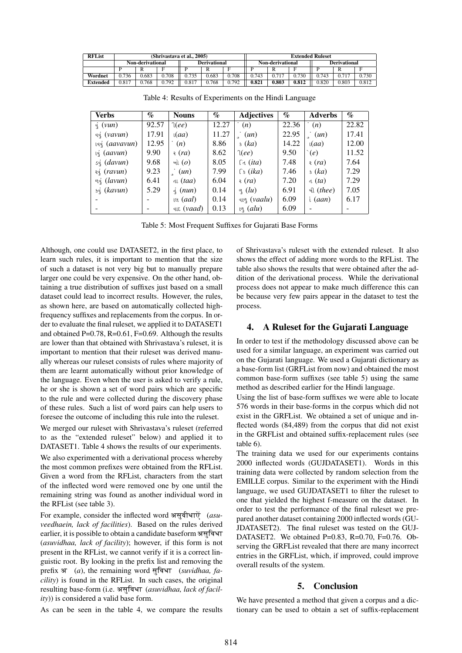| <b>RFList</b>   | (Shrivastava et al., 2005) |                         |       |                     |       | <b>Extended Ruleset</b> |                  |       |       |                     |       |       |
|-----------------|----------------------------|-------------------------|-------|---------------------|-------|-------------------------|------------------|-------|-------|---------------------|-------|-------|
|                 |                            | <b>Non-derivational</b> |       | <b>Derivational</b> |       |                         | Non-derivational |       |       | <b>Derivational</b> |       |       |
|                 |                            |                         |       |                     |       |                         |                  |       |       |                     |       |       |
| Wordnet         | 0.736                      | 0.683                   | 0.708 | 0.735               | 0.683 | 0.708                   | 0.743            |       | 0.730 | 0.743               |       | 0.730 |
| <b>Extended</b> | 0.817                      | 0.768                   | 0.792 | 0.817               | 0.768 | 0.792                   | 0.821            | 0.803 | 0.812 | 0.820               | 0.803 | 0.812 |

| Verbs                                 | $\%$  | <b>Nouns</b>        | $\%$  | <b>Adjectives</b>                   | $\%$  | <b>Adverbs</b>     | $\%$  |
|---------------------------------------|-------|---------------------|-------|-------------------------------------|-------|--------------------|-------|
| $\dot{\mathfrak{q}}$ (vun)            | 92.57 | $\mathcal{A}(ee)$   | 12.27 | (n)                                 | 22.36 | (n)                | 22.82 |
| વવું ( <i>vavun</i> )                 | 17.91 | $\iota(aa)$         | 11.27 | (un)                                | 22.95 | (un)               | 17.41 |
| ાવવું <i>(aavavun)</i>                | 12.95 | (n)                 | 8.86  | s(ka)                               | 14.22 | $\iota(aa)$        | 12.00 |
| $\mathfrak{q}$ (aavun)                | 9.90  | $\epsilon$ (ra)     | 8.62  | $\mathcal{L}(ee)$                   | 9.50  | (e)                | 11.52 |
| sq (davun)                            | 9.68  | ઓ $(o)$             | 8.05  | નિ $(ita)$                          | 7.48  | $\epsilon$ $ra)$   | 7.64  |
| રવું $(ravun)$                        | 9.23  | (un)                | 7.99  | $\lceil \frac{1}{2}$ ( <i>ika</i> ) | 7.46  | $s$ $(ka)$         | 7.29  |
| $\mathfrak{g}_{\mathfrak{q}}$ (lavun) | 6.41  | dL(taa)             | 6.04  | $\epsilon$ (ra)                     | 7.20  | d(ta)              | 7.29  |
| sq (kavun)                            | 5.29  | $\pm$ (nun)         | 0.14  | $\mathfrak{g}(lu)$                  | 6.91  | થી ( <i>thee</i> ) | 7.05  |
|                                       |       | ાલ $(aal)$          | 0.14  | વાળ <i>(vaalu)</i>                  | 6.09  | i $(aan)$          | 6.17  |
|                                       |       | વાદ ( <i>vaad</i> ) | 0.13  | $\mathfrak{g}$ (alu)                | 6.09  |                    |       |

Table 4: Results of Experiments on the Hindi Language

Table 5: Most Frequent Suffixes for Gujarati Base Forms

Although, one could use DATASET2, in the first place, to learn such rules, it is important to mention that the size of such a dataset is not very big but to manually prepare larger one could be very expensive. On the other hand, obtaining a true distribution of suffixes just based on a small dataset could lead to incorrect results. However, the rules, as shown here, are based on automatically collected highfrequency suffixes and replacements from the corpus. In order to evaluate the final ruleset, we applied it to DATASET1 and obtained  $P=0.78$ ,  $R=0.61$ ,  $F=0.69$ . Although the results are lower than that obtained with Shrivastava's ruleset, it is important to mention that their ruleset was derived manually whereas our ruleset consists of rules where majority of them are learnt automatically without prior knowledge of the language. Even when the user is asked to verify a rule, he or she is shown a set of word pairs which are specific to the rule and were collected during the discovery phase of these rules. Such a list of word pairs can help users to foresee the outcome of including this rule into the ruleset.

We merged our ruleset with Shrivastava's ruleset (referred to as the "extended ruleset" below) and applied it to DATASET1. Table 4 shows the results of our experiments.

We also experimented with a derivational process whereby the most common prefixes were obtained from the RFList. Given a word from the RFList, characters from the start of the inflected word were removed one by one until the remaining string was found as another individual word in the RFList (see table 3).

For example, consider the inflected word असुवीधाऐं (asuveedhaein, lack of facilities). Based on the rules derived earlier, it is possible to obtain a candidate baseform असुविधा (asuvidhaa, lack of facility); however, if this form is not present in the RFList, we cannot verify if it is a correct linguistic root. By looking in the prefix list and removing the prefix अ  $(a)$ , the remaining word सुविधा (suvidhaa, facility) is found in the RFList. In such cases, the original resulting base-form (i.e. असुविधा (asuvidhaa, lack of facil $ity)$ ) is considered a valid base form.

As can be seen in the table 4, we compare the results

of Shrivastava's ruleset with the extended ruleset. It also shows the effect of adding more words to the RFList. The table also shows the results that were obtained after the addition of the derivational process. While the derivational process does not appear to make much difference this can be because very few pairs appear in the dataset to test the process.

#### 4. A Ruleset for the Gujarati Language

In order to test if the methodology discussed above can be used for a similar language, an experiment was carried out on the Gujarati language. We used a Gujarati dictionary as a base-form list (GRFList from now) and obtained the most common base-form suffixes (see table 5) using the same method as described earlier for the Hindi language.

Using the list of base-form suffixes we were able to locate 576 words in their base-forms in the corpus which did not exist in the GRFList. We obtained a set of unique and inflected words (84,489) from the corpus that did not exist in the GRFList and obtained suffix-replacement rules (see table 6).

The training data we used for our experiments contains 2000 inflected words (GUJDATASET1). Words in this training data were collected by random selection from the EMILLE corpus. Similar to the experiment with the Hindi language, we used GUJDATASET1 to filter the ruleset to one that yielded the highest f-measure on the dataset. In order to test the performance of the final ruleset we prepared another dataset containing 2000 inflected words (GU-JDATASET2). The final ruleset was tested on the GUJ-DATASET2. We obtained P=0.83, R=0.70, F=0.76. Observing the GRFList revealed that there are many incorrect entries in the GRFList, which, if improved, could improve overall results of the system.

#### 5. Conclusion

We have presented a method that given a corpus and a dictionary can be used to obtain a set of suffix-replacement